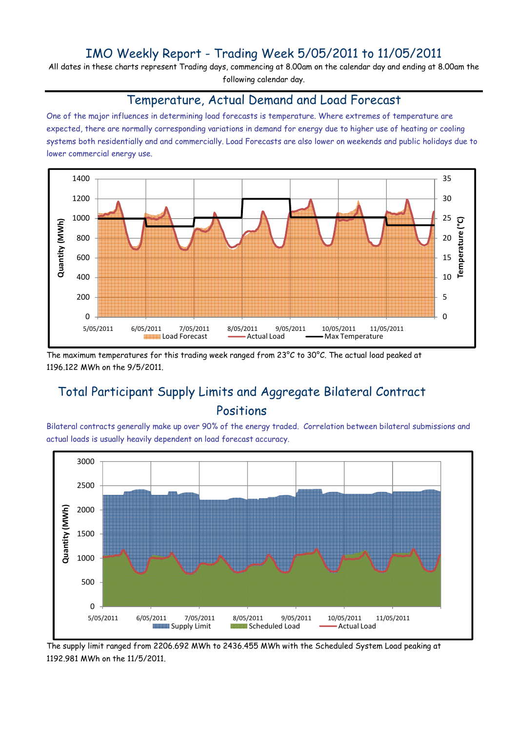### IMO Weekly Report - Trading Week 5/05/2011 to 11/05/2011

All dates in these charts represent Trading days, commencing at 8.00am on the calendar day and ending at 8.00am the following calendar day.

#### Temperature, Actual Demand and Load Forecast

One of the major influences in determining load forecasts is temperature. Where extremes of temperature are expected, there are normally corresponding variations in demand for energy due to higher use of heating or cooling systems both residentially and and commercially. Load Forecasts are also lower on weekends and public holidays due to lower commercial energy use.



The maximum temperatures for this trading week ranged from 23°C to 30°C. The actual load peaked at 1196.122 MWh on the 9/5/2011.

## Total Participant Supply Limits and Aggregate Bilateral Contract Positions

Bilateral contracts generally make up over 90% of the energy traded. Correlation between bilateral submissions and actual loads is usually heavily dependent on load forecast accuracy.



The supply limit ranged from 2206.692 MWh to 2436.455 MWh with the Scheduled System Load peaking at 1192.981 MWh on the 11/5/2011.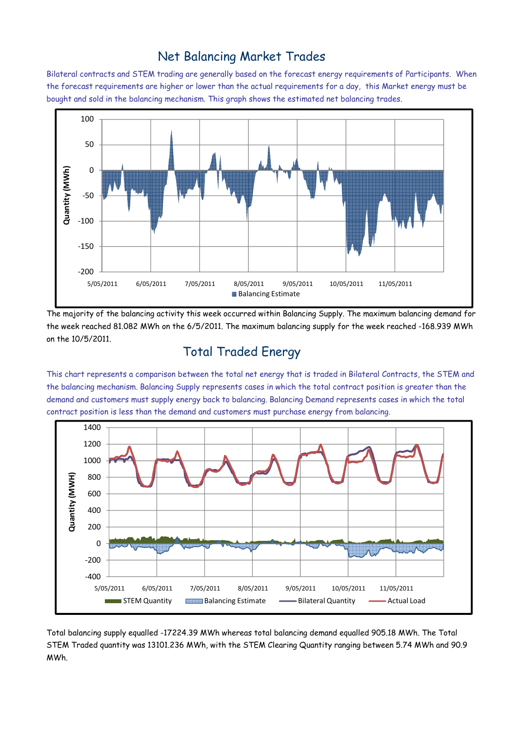### Net Balancing Market Trades

Bilateral contracts and STEM trading are generally based on the forecast energy requirements of Participants. When the forecast requirements are higher or lower than the actual requirements for a day, this Market energy must be bought and sold in the balancing mechanism. This graph shows the estimated net balancing trades.



The majority of the balancing activity this week occurred within Balancing Supply. The maximum balancing demand for the week reached 81.082 MWh on the 6/5/2011. The maximum balancing supply for the week reached -168.939 MWh on the 10/5/2011.

# Total Traded Energy

This chart represents a comparison between the total net energy that is traded in Bilateral Contracts, the STEM and the balancing mechanism. Balancing Supply represents cases in which the total contract position is greater than the demand and customers must supply energy back to balancing. Balancing Demand represents cases in which the total contract position is less than the demand and customers must purchase energy from balancing.



Total balancing supply equalled -17224.39 MWh whereas total balancing demand equalled 905.18 MWh. The Total STEM Traded quantity was 13101.236 MWh, with the STEM Clearing Quantity ranging between 5.74 MWh and 90.9 MWh.